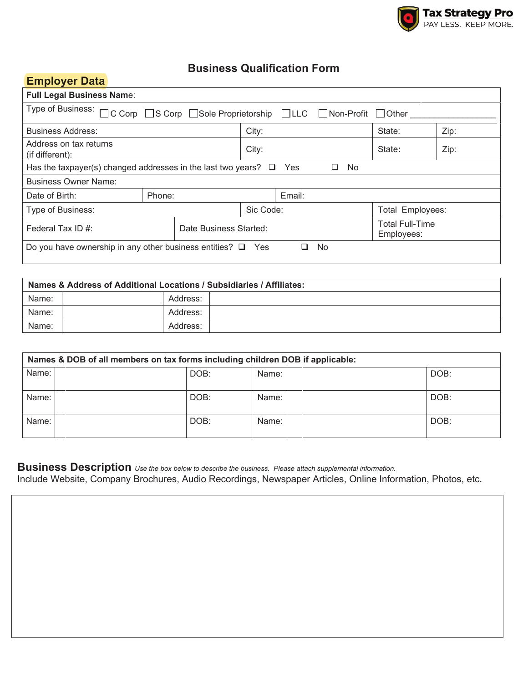

## **Business Qualification Form**

| <b>Employer Data</b>                                                                |                        |       |           |        |      |                                      |      |
|-------------------------------------------------------------------------------------|------------------------|-------|-----------|--------|------|--------------------------------------|------|
| <b>Full Legal Business Name:</b>                                                    |                        |       |           |        |      |                                      |      |
| Type of Business: □C Corp □S Corp □Sole Proprietorship □LLC □Non-Profit □Other      |                        |       |           |        |      |                                      |      |
| <b>Business Address:</b>                                                            |                        |       | City:     |        |      | State:                               | Zip: |
| Address on tax returns<br>(if different):                                           |                        | City: |           | State: | Zip: |                                      |      |
| No.<br>Has the taxpayer(s) changed addresses in the last two years? $\Box$ Yes<br>⊔ |                        |       |           |        |      |                                      |      |
| <b>Business Owner Name:</b>                                                         |                        |       |           |        |      |                                      |      |
| Date of Birth:                                                                      | Phone:                 |       | Email:    |        |      |                                      |      |
| Type of Business:                                                                   |                        |       | Sic Code: |        |      | Total Employees:                     |      |
| Federal Tax ID $#$ :                                                                | Date Business Started: |       |           |        |      | <b>Total Full-Time</b><br>Employees: |      |
| Do you have ownership in any other business entities? $\Box$ Yes<br>No              |                        |       |           |        |      |                                      |      |

| Names & Address of Additional Locations / Subsidiaries / Affiliates: |  |          |  |  |
|----------------------------------------------------------------------|--|----------|--|--|
| Name:                                                                |  | Address: |  |  |
| Name:                                                                |  | Address: |  |  |
| Name:                                                                |  | Address: |  |  |

| Names & DOB of all members on tax forms including children DOB if applicable: |      |       |      |  |
|-------------------------------------------------------------------------------|------|-------|------|--|
| Name:                                                                         | DOB: | Name: | DOB: |  |
| Name:                                                                         | DOB: | Name: | DOB: |  |
| Name:                                                                         | DOB: | Name: | DOB: |  |

**Business Description** *Use the box below to describe the business. Please attach supplemental information.* Include Website, Company Brochures, Audio Recordings, Newspaper Articles, Online Information, Photos, etc.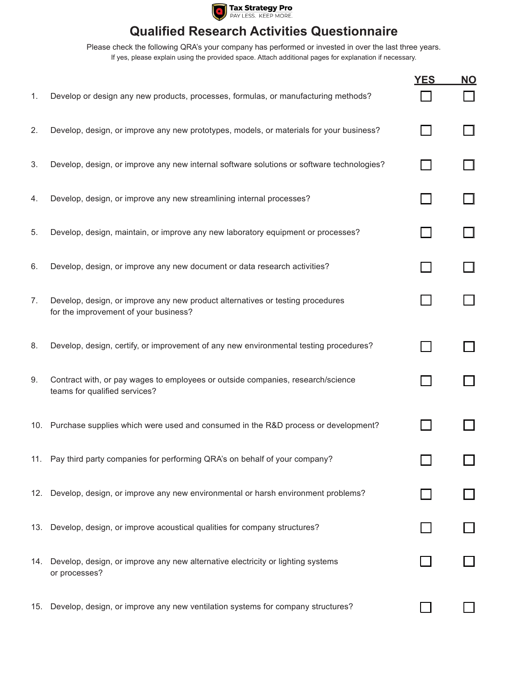

## **Qualified Research Activities Questionnaire**

Please check the following QRA's your company has performed or invested in over the last three years. If yes, please explain using the provided space. Attach additional pages for explanation if necessary.

|    |                                                                                                                         | <b>YES</b> | <u>NO</u> |
|----|-------------------------------------------------------------------------------------------------------------------------|------------|-----------|
| 1. | Develop or design any new products, processes, formulas, or manufacturing methods?                                      |            |           |
| 2. | Develop, design, or improve any new prototypes, models, or materials for your business?                                 |            |           |
| 3. | Develop, design, or improve any new internal software solutions or software technologies?                               |            |           |
| 4. | Develop, design, or improve any new streamlining internal processes?                                                    |            |           |
| 5. | Develop, design, maintain, or improve any new laboratory equipment or processes?                                        |            |           |
| 6. | Develop, design, or improve any new document or data research activities?                                               |            |           |
| 7. | Develop, design, or improve any new product alternatives or testing procedures<br>for the improvement of your business? |            |           |
| 8. | Develop, design, certify, or improvement of any new environmental testing procedures?                                   |            |           |
| 9. | Contract with, or pay wages to employees or outside companies, research/science<br>teams for qualified services?        |            |           |
|    | 10. Purchase supplies which were used and consumed in the R&D process or development?                                   |            |           |
|    | 11. Pay third party companies for performing QRA's on behalf of your company?                                           |            |           |
|    | 12. Develop, design, or improve any new environmental or harsh environment problems?                                    |            |           |
|    | 13. Develop, design, or improve acoustical qualities for company structures?                                            |            |           |
|    | 14. Develop, design, or improve any new alternative electricity or lighting systems<br>or processes?                    |            |           |
|    | 15. Develop, design, or improve any new ventilation systems for company structures?                                     |            |           |